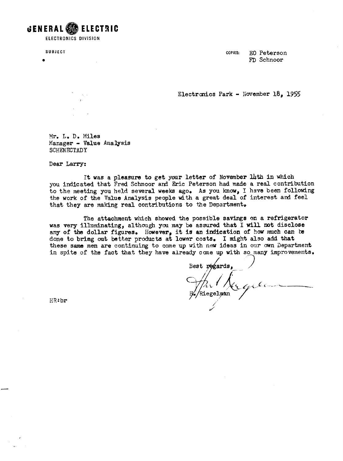GENERAL **88** ELECTRIC **ELECTRONICS DIVISION** 

**SUBJECT COPIES: EQ Peterson FD** Schnoor

**Electronics Park - November 18, 1955** 

Mr. L. D. Miles Planager - **Value** Analysis SCHENECTADY

Dear **Larry:** 

It was a pleasure to get your letter of November lith in which you indicated that **Fred** Schnoor **and** Eric Peterson had **made** a real contribution to the meeting you held several weeks ago. As you know, I have been following **the** work of **the Value** Analysis people **with** a great **deal** of interest and feel that they are making real contributions to the Department.

**The** attachment which showed the possible **savings on** a refrigerator was very illuminating, although you may be assured that I will not disclose **any** of the dollar figures. **However,** it **Is** an **indication** of how much **can b**  done to bring out **better** products at **lower** costsl **I might also add that**  these **same** men **are** continuing to **come** up with new **ideas** in **our own** Department in spite of the fact **that** they have **already** cane up **with so-many improvements.** 

Best pogards, Riegelman

KR: **br**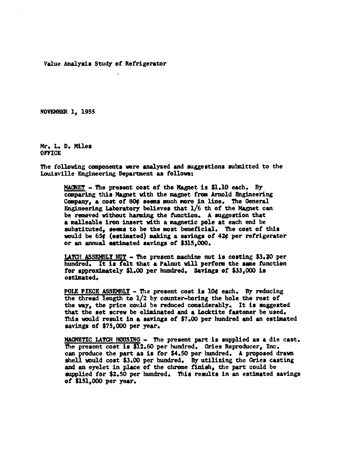Value Analysis Study of Refrigerator

NOVEMBER 1, 1955

Mr. L. D. Miles **OFFICE** 

The following components were analyzed and suggestions submitted to the Louisville Engineering Department as follows:

MACNET - The present cost of the Magnet is \$1.10 each. By comparing this Magnet with the magnet from Arnold Engineering Company, a cost of 804 seems much more in line. The General Engineering Laboratory believes that 1/6 th of the Magnet can be removed without harming the function. A suggestion that a malleable iron insert with a magnetic pole at each end be substituted, seems to be the most beneficial. The cost of this would be 65¢ (estimated) making a savings of 42¢ per refrigerator or an annual estimated savings of \$315,000.

LATCH ASSEMBLY NUT - The present machine nut is costing \$3.20 per hundred. It is felt that a Palnut will perform the same function for approximately \$1.00 per hundred. Savings of \$33.000 is estimated.

POLE PIECE ASSEMBLY - The present cost is lO¢ each. By reducing the thread length to 1/2 by counter-boring the hole the rest of the way, the price could be reduced considerably. It is suggested that the set screw be eliminated and a Locktite fastener be used. This would result in a savings of \$7.00 per hundred and an estimated savings of \$75,000 per year.

MAGNETIC LATCH HOUSING - The present part is supplied as a die cast. The present cost is \$12.60 per hundred. Gries Reproducer, Inc. can produce the part as is for \$4.50 per hundred. A proposed drawn shell would cost \$3.00 per hundred. By utilizing the Gries casting and an eyelet in place of the chrome finish, the part could be supplied for \$2.50 per hundred. This results in an estimated savings of \$151.000 per year.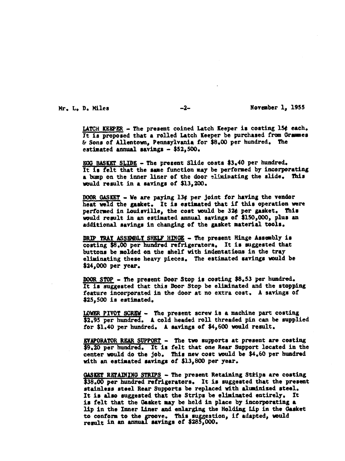Mr. L. D. Miles

 $-2-$ 

November 1, 1955

LATCH KEEPER - The present coined Latch Keeper is costing 15¢ each. It is proposed that a rolled Latch Keeper be purchased from Grammes & Sons of Allentown, Pennsylvania for \$8.00 per hundred. The estimated annual savings  $-$  \$52,500.

EGG BASKET SLIDE - The prezent Slide costs \$3.40 per hundred. It is felt that the same function may be performed by incorporating a bump on the inner liner of the door eliminating the slide. This would result in a savings of \$13,200.

DOOR GASKET - We are paying 13¢ per joint for having the vendor heat weld the gasket. It is estimated that if this operation were performed in Louisville, the cost would be 32¢ per gasket. This would result in an estimated annual savings of \$150,000, plus an additional savings in changing of the gasket material tools.

DRIP TRAY ASSEMBLY SHELF HINGE - The present Hinge Assembly is costing \$8.00 per hundred refrigerators. It is suggested that buttons be molded on the shelf with indentations in the tray eliminating these heavy pieces. The estimated savings would be \$24,000 per year.

DOOR STOP - The present Door Stop is costing \$8.53 per hundred. It is suggested that this Door Stop be eliminated and the stopping feature incorporated in the door at no extra cost. A savings of  $$25,500$  is estimated.

LOWER PIVOT SCREW - The present screw is a machine part costing \$2.95 per hundred. A cold headed roll threaded pin can be supplied for \$1.40 per hundred. A savings of \$4,600 would result.

EVAPORATOR REAR SUPPORT - The two supports at present are costing \$9.20 per hundred. It is felt that one Rear Support located in the center would do the job. This new cost would be \$4.60 per hundred with an estimated savings of \$13,800 per year.

GASKET RETAINING STRIPS - The present Retaining Strips are costing \$38.00 per hundred refrigerators. It is suggested that the present stainless steel Rear Supports be replaced with aluminized steel. It is also suggested that the Strips be eliminated entirely. It is felt that the Gasket may be held in place by incorporating a lip in the Inner Liner and enlarging the Holding Lip in the Gasket to conform to the groove. This suggestion, if adapted, would result in an annual savings of \$285,000.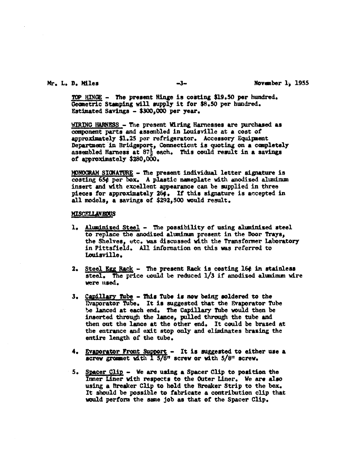#### Mr. L. D. Miles

 $-3-$ 

TOP HINGE - The present Hinge is costing \$19.50 per hundred. Geometric Stamping will supply it for \$8.50 per hundred. Estimated Savings - \$300,000 per year.

WIRING HARNESS - The present Wiring Harnesses are purchased as component parts and assembled in Louisville at a cost of approximately \$1.25 per refrigerator. Accessory Equipment Department in Bridgeport, Connecticut is quoting on a completely assembled Harness at 87<sup>1</sup> each. This could result in a savings of approximately \$280,000.

MONOGRAM SIGNATURE - The present individual letter signature is costing 65¢ per box. A plastic nameplate with anodized aluminum insert and with excellent appearance can be supplied in three pieces for approximately 264. If this signature is accepted in all models, a savings of \$292,500 would result.

#### **MISCELLANEOUS**

- 1. Aluminized Steel The possibility of using aluminized steel to replace the anodized aluminum present in the Door Trays, the Shelves. etc. was discussed with the Transformer Laboratory in Pittsfield. All information on this was referred to Louisville.
- 2. Steel Egg Rack The present Rack is costing 16¢ in stainless steel. The price could be reduced 1/3 if anodized aluminum wire were used.
- 3. Capillary Tube This Tube is now being soldered to the Evaporator Tube. It is suggested that the Evaporator Tube be lanced at each end. The Capillary Tube would then be inserted through the lance, pulled through the tube and then out the lance at the other end. It could be brazed at the entrance and exit stop only and eliminates brazing the entire length of the tube.
- 4. Evaporator Front Support It is suggested to either use a screw grommet with 1 5/8" screw or with 5/8" screw.
- 5. Spacer Clip We are using a Spacer Clip to position the Inner Liner with respects to the Outer Liner. We are also using a Breaker Clip to hold the Breaker Strip to the box. It should be possible to fabricate a contribution clip that would perform the same job as that of the Spacer Clip.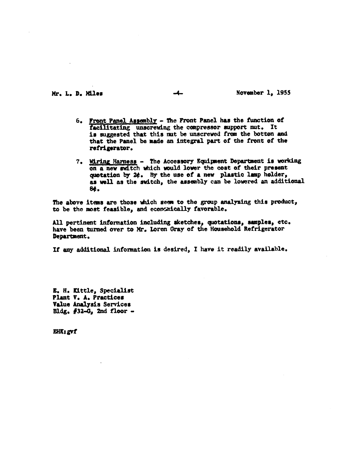## Mr. L. D. Miles

 $-4-$ 

### November 1, 1955

- 6. Front Panel Assembly The Front Panel has the function of facilitating unscrewing the compressor support mut. It is suggested that this mut be unscrewed from the botton and that the Panel be made an integral part of the front of the refrigerator.
- 7. Wiring Harness The Accessory Equipment Department is working on a new switch which would lower the cost of their present quotation by 2¢. By the use of a new plastic lamp holder, as well as the switch, the assembly can be lowered an additional 84.

The above items are those which seem to the group analyzing this product, to be the most feasible, and economically favorable.

All pertinent information including sketches, quotations, samples, etc. have been turned over to Mr. Loren Gray of the Household Refrigerator Department.

If any additional information is desired, I have it readily available.

E. H. Kittle, Specialist Plant V. A. Practices Value Analysis Services Bldg.  $#32-G$ , 2nd floor -

EHK: gvf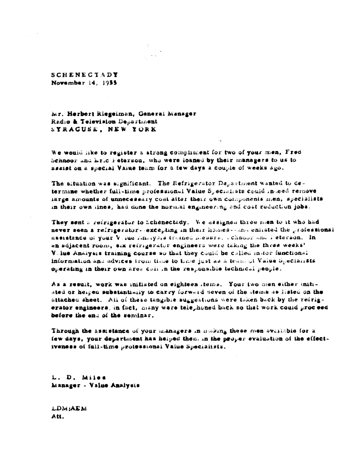**SCHENECTADY** November 14, 1955

Mr. Herbert Riegelman, General Manager Radio & Television Department SYRACUSE, NEW YORK

We would like to register a strong compliment for two of your men, Fred Schnoor and hric Feterson, who were loaned by their managers to us to assist on a special Value team for a few days a couple of weeks ago.

The situation was significant. The Refrigerator Department wanted to determine whether full-time professional Value Specialists could indeed remove large amounts of unnecessary cost after their own components men, specialists in their own lines, had done the normal engineering and cost reduction jobs.

They sent a reirigerator to Schenectady. We assigned three men to it who had never seen a refrigerator- excepting in their homes-sami enlisted the professional assistance of your Vilue Analysis trained messrs, ichnoor and feterson. In an adjacent room, six refrigerator engineers were taking the three weeks! Vilue Analysis training course so that they could be called in for functional information and advices from time to time just as a team of Value Specialists operating in their own area call in the responsible technical people.

As a result, work was initiated on eighteen items. Your two men either initiated or heiped substantially to carry forward seven of the items as listed on the attached sheet. All of these tangible suggestions were taken back by the refrigerator engineers, in fact, many were telephoned back so that work could proceed before the end of the seminar.

Through the assistance of your managers in making these men available for a few days, your department has helped them in the proper evaluation of the effectiveness of full-time protessionsl Value Specialists.

L. D. Miles Manager - Value Analysis

LDM:AEM Att.